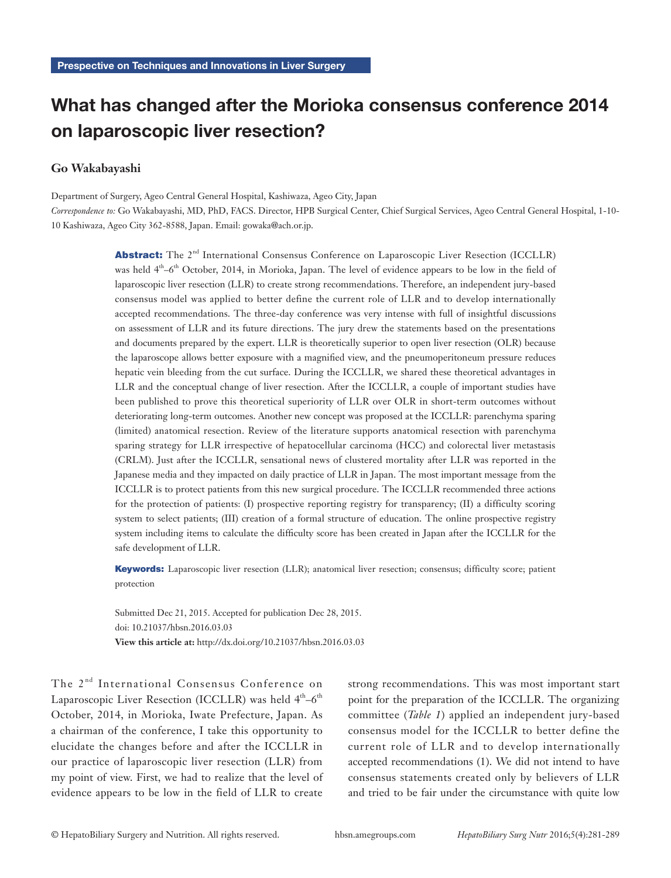# What has changed after the Morioka consensus conference 2014 on laparoscopic liver resection?

#### **Go Wakabayashi**

Department of Surgery, Ageo Central General Hospital, Kashiwaza, Ageo City, Japan

*Correspondence to:* Go Wakabayashi, MD, PhD, FACS. Director, HPB Surgical Center, Chief Surgical Services, Ageo Central General Hospital, 1-10- 10 Kashiwaza, Ageo City 362-8588, Japan. Email: gowaka@ach.or.jp.

> Abstract: The 2<sup>nd</sup> International Consensus Conference on Laparoscopic Liver Resection (ICCLLR) was held  $4<sup>th</sup>–6<sup>th</sup>$  October, 2014, in Morioka, Japan. The level of evidence appears to be low in the field of laparoscopic liver resection (LLR) to create strong recommendations. Therefore, an independent jury-based consensus model was applied to better define the current role of LLR and to develop internationally accepted recommendations. The three-day conference was very intense with full of insightful discussions on assessment of LLR and its future directions. The jury drew the statements based on the presentations and documents prepared by the expert. LLR is theoretically superior to open liver resection (OLR) because the laparoscope allows better exposure with a magnified view, and the pneumoperitoneum pressure reduces hepatic vein bleeding from the cut surface. During the ICCLLR, we shared these theoretical advantages in LLR and the conceptual change of liver resection. After the ICCLLR, a couple of important studies have been published to prove this theoretical superiority of LLR over OLR in short-term outcomes without deteriorating long-term outcomes. Another new concept was proposed at the ICCLLR: parenchyma sparing (limited) anatomical resection. Review of the literature supports anatomical resection with parenchyma sparing strategy for LLR irrespective of hepatocellular carcinoma (HCC) and colorectal liver metastasis (CRLM). Just after the ICCLLR, sensational news of clustered mortality after LLR was reported in the Japanese media and they impacted on daily practice of LLR in Japan. The most important message from the ICCLLR is to protect patients from this new surgical procedure. The ICCLLR recommended three actions for the protection of patients: (I) prospective reporting registry for transparency; (II) a difficulty scoring system to select patients; (III) creation of a formal structure of education. The online prospective registry system including items to calculate the difficulty score has been created in Japan after the ICCLLR for the safe development of LLR.

> Keywords: Laparoscopic liver resection (LLR); anatomical liver resection; consensus; difficulty score; patient protection

Submitted Dec 21, 2015. Accepted for publication Dec 28, 2015. doi: 10.21037/hbsn.2016.03.03 **View this article at:** http://dx.doi.org/10.21037/hbsn.2016.03.03

The 2<sup>nd</sup> International Consensus Conference on Laparoscopic Liver Resection (ICCLLR) was held  $4<sup>th</sup>-6<sup>th</sup>$ October, 2014, in Morioka, Iwate Prefecture, Japan. As a chairman of the conference, I take this opportunity to elucidate the changes before and after the ICCLLR in our practice of laparoscopic liver resection (LLR) from my point of view. First, we had to realize that the level of evidence appears to be low in the field of LLR to create strong recommendations. This was most important start point for the preparation of the ICCLLR. The organizing committee (*Table 1*) applied an independent jury-based consensus model for the ICCLLR to better define the current role of LLR and to develop internationally accepted recommendations (1). We did not intend to have consensus statements created only by believers of LLR and tried to be fair under the circumstance with quite low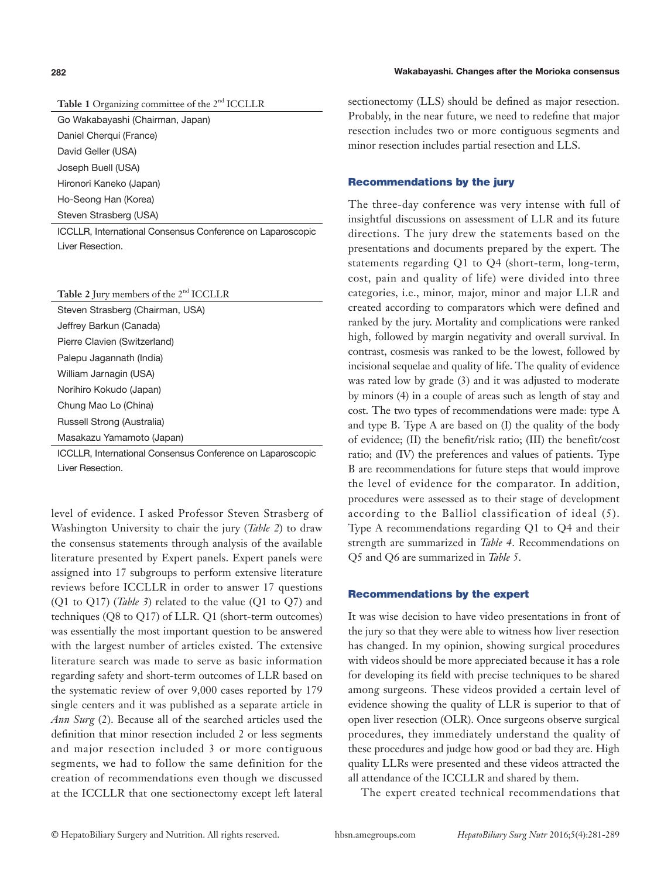|  |  | Table 1 Organizing committee of the 2 <sup>nd</sup> ICCLLR |  |  |  |  |
|--|--|------------------------------------------------------------|--|--|--|--|
|--|--|------------------------------------------------------------|--|--|--|--|

Go Wakabayashi (Chairman, Japan)

Daniel Cherqui (France)

David Geller (USA)

Joseph Buell (USA)

Hironori Kaneko (Japan)

Ho-Seong Han (Korea)

Steven Strasberg (USA)

ICCLLR, International Consensus Conference on Laparoscopic Liver Resection.

| Table 2 Jury members of the 2 <sup>nd</sup> ICCLLR |  |  |  |  |  |  |  |
|----------------------------------------------------|--|--|--|--|--|--|--|
| Steven Strasberg (Chairman, USA)                   |  |  |  |  |  |  |  |
| Jeffrey Barkun (Canada)                            |  |  |  |  |  |  |  |
| Pierre Clavien (Switzerland)                       |  |  |  |  |  |  |  |
| Palepu Jagannath (India)                           |  |  |  |  |  |  |  |
| William Jarnagin (USA)                             |  |  |  |  |  |  |  |
| Norihiro Kokudo (Japan)                            |  |  |  |  |  |  |  |

Chung Mao Lo (China)

Russell Strong (Australia)

Masakazu Yamamoto (Japan)

ICCLLR, International Consensus Conference on Laparoscopic Liver Resection.

level of evidence. I asked Professor Steven Strasberg of Washington University to chair the jury (*Table 2*) to draw the consensus statements through analysis of the available literature presented by Expert panels. Expert panels were assigned into 17 subgroups to perform extensive literature reviews before ICCLLR in order to answer 17 questions (Q1 to Q17) (*Table 3*) related to the value (Q1 to Q7) and techniques (Q8 to Q17) of LLR. Q1 (short-term outcomes) was essentially the most important question to be answered with the largest number of articles existed. The extensive literature search was made to serve as basic information regarding safety and short-term outcomes of LLR based on the systematic review of over 9,000 cases reported by 179 single centers and it was published as a separate article in *Ann Surg* (2). Because all of the searched articles used the definition that minor resection included 2 or less segments and major resection included 3 or more contiguous segments, we had to follow the same definition for the creation of recommendations even though we discussed at the ICCLLR that one sectionectomy except left lateral

sectionectomy (LLS) should be defined as major resection. Probably, in the near future, we need to redefine that major resection includes two or more contiguous segments and minor resection includes partial resection and LLS.

#### Recommendations by the jury

The three-day conference was very intense with full of insightful discussions on assessment of LLR and its future directions. The jury drew the statements based on the presentations and documents prepared by the expert. The statements regarding Q1 to Q4 (short-term, long-term, cost, pain and quality of life) were divided into three categories, i.e., minor, major, minor and major LLR and created according to comparators which were defined and ranked by the jury. Mortality and complications were ranked high, followed by margin negativity and overall survival. In contrast, cosmesis was ranked to be the lowest, followed by incisional sequelae and quality of life. The quality of evidence was rated low by grade (3) and it was adjusted to moderate by minors (4) in a couple of areas such as length of stay and cost. The two types of recommendations were made: type A and type B. Type A are based on (I) the quality of the body of evidence; (II) the benefit/risk ratio; (III) the benefit/cost ratio; and (IV) the preferences and values of patients. Type B are recommendations for future steps that would improve the level of evidence for the comparator. In addition, procedures were assessed as to their stage of development according to the Balliol classification of ideal (5). Type A recommendations regarding Q1 to Q4 and their strength are summarized in *Table 4*. Recommendations on Q5 and Q6 are summarized in *Table 5*.

#### Recommendations by the expert

It was wise decision to have video presentations in front of the jury so that they were able to witness how liver resection has changed. In my opinion, showing surgical procedures with videos should be more appreciated because it has a role for developing its field with precise techniques to be shared among surgeons. These videos provided a certain level of evidence showing the quality of LLR is superior to that of open liver resection (OLR). Once surgeons observe surgical procedures, they immediately understand the quality of these procedures and judge how good or bad they are. High quality LLRs were presented and these videos attracted the all attendance of the ICCLLR and shared by them.

The expert created technical recommendations that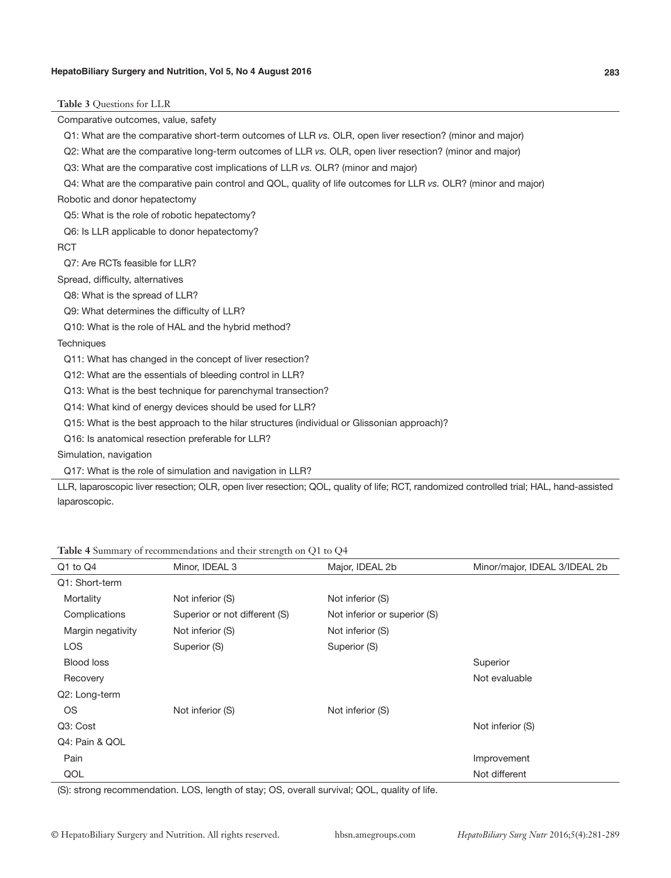#### **HepatoBiliary Surgery and Nutrition, Vol 5, No 4 August 2016 283**

| Table 3 Questions for LLR                                                                                                                                                                 |
|-------------------------------------------------------------------------------------------------------------------------------------------------------------------------------------------|
| Comparative outcomes, value, safety                                                                                                                                                       |
| Q1: What are the comparative short-term outcomes of LLR vs. OLR, open liver resection? (minor and major)                                                                                  |
| Q2: What are the comparative long-term outcomes of LLR vs. OLR, open liver resection? (minor and major)                                                                                   |
| Q3: What are the comparative cost implications of LLR vs. OLR? (minor and major)                                                                                                          |
| Q4: What are the comparative pain control and QOL, quality of life outcomes for LLR vs. OLR? (minor and major)                                                                            |
| Robotic and donor hepatectomy                                                                                                                                                             |
| Q5: What is the role of robotic hepatectomy?                                                                                                                                              |
| Q6: Is LLR applicable to donor hepatectomy?                                                                                                                                               |
| <b>RCT</b>                                                                                                                                                                                |
| Q7: Are RCTs feasible for LLR?                                                                                                                                                            |
| Spread, difficulty, alternatives                                                                                                                                                          |
| Q8: What is the spread of LLR?                                                                                                                                                            |
| Q9: What determines the difficulty of LLR?                                                                                                                                                |
| Q10: What is the role of HAL and the hybrid method?                                                                                                                                       |
| <b>Techniques</b>                                                                                                                                                                         |
| Q11: What has changed in the concept of liver resection?                                                                                                                                  |
| Q12: What are the essentials of bleeding control in LLR?                                                                                                                                  |
| Q13: What is the best technique for parenchymal transection?                                                                                                                              |
| Q14: What kind of energy devices should be used for LLR?                                                                                                                                  |
| Q15: What is the best approach to the hilar structures (individual or Glissonian approach)?                                                                                               |
| Q16: Is anatomical resection preferable for LLR?                                                                                                                                          |
| Simulation, navigation                                                                                                                                                                    |
| Q17: What is the role of simulation and navigation in LLR?                                                                                                                                |
| $\overline{AB}$ longrapes pilot resection: $\overline{AB}$ anon liver resection: $\overline{DA}$ quality of life: $\overline{DCT}$ rendomized controlled trial: $\overline{BA}$ bond eggs |

LLR, laparoscopic liver resection; OLR, open liver resection; QOL, quality of life; RCT, randomized controlled trial; HAL, hand-assisted laparoscopic.

**Table 4** Summary of recommendations and their strength on Q1 to Q4

| Q1 to Q4          | Minor, IDEAL 3                | Major, IDEAL 2b              | Minor/major, IDEAL 3/IDEAL 2b |
|-------------------|-------------------------------|------------------------------|-------------------------------|
| Q1: Short-term    |                               |                              |                               |
| Mortality         | Not inferior (S)              | Not inferior (S)             |                               |
| Complications     | Superior or not different (S) | Not inferior or superior (S) |                               |
| Margin negativity | Not inferior (S)              | Not inferior (S)             |                               |
| <b>LOS</b>        | Superior (S)                  | Superior (S)                 |                               |
| Blood loss        |                               |                              | Superior                      |
| Recovery          |                               |                              | Not evaluable                 |
| Q2: Long-term     |                               |                              |                               |
| <b>OS</b>         | Not inferior (S)              | Not inferior (S)             |                               |
| Q3: Cost          |                               |                              | Not inferior (S)              |
| Q4: Pain & QOL    |                               |                              |                               |
| Pain              |                               |                              | Improvement                   |
| QOL               |                               |                              | Not different                 |

(S): strong recommendation. LOS, length of stay; OS, overall survival; QOL, quality of life.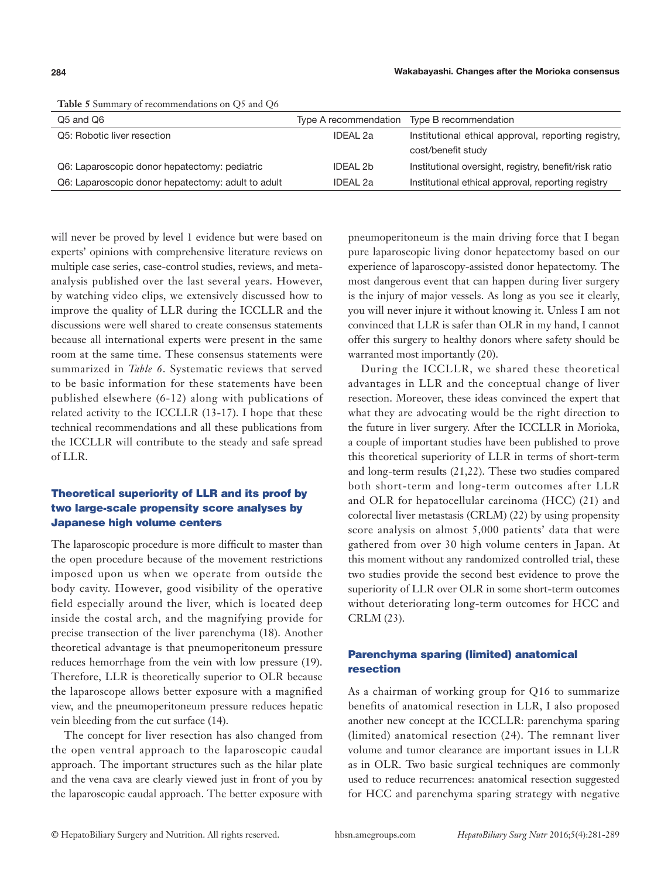| <b>Lable</b> $J$ duminary of recommendations on $\bigcup J$ and $\bigcup \bigcup J$ |                       |                                                                           |
|-------------------------------------------------------------------------------------|-----------------------|---------------------------------------------------------------------------|
| Q5 and Q6                                                                           | Type A recommendation | Type B recommendation                                                     |
| Q5: Robotic liver resection                                                         | IDEAL 2a              | Institutional ethical approval, reporting registry,<br>cost/benefit study |
| Q6: Laparoscopic donor hepatectomy: pediatric                                       | IDFAI 2b              | Institutional oversight, registry, benefit/risk ratio                     |
| Q6: Laparoscopic donor hepatectomy: adult to adult                                  | IDEAL 2a              | Institutional ethical approval, reporting registry                        |
|                                                                                     |                       |                                                                           |

**Table 5** Summary of recommendations on Q5 and Q6

will never be proved by level 1 evidence but were based on experts' opinions with comprehensive literature reviews on multiple case series, case-control studies, reviews, and metaanalysis published over the last several years. However, by watching video clips, we extensively discussed how to improve the quality of LLR during the ICCLLR and the discussions were well shared to create consensus statements because all international experts were present in the same room at the same time. These consensus statements were summarized in *Table 6*. Systematic reviews that served to be basic information for these statements have been published elsewhere (6-12) along with publications of related activity to the ICCLLR (13-17). I hope that these technical recommendations and all these publications from the ICCLLR will contribute to the steady and safe spread of LLR.

## Theoretical superiority of LLR and its proof by two large-scale propensity score analyses by Japanese high volume centers

The laparoscopic procedure is more difficult to master than the open procedure because of the movement restrictions imposed upon us when we operate from outside the body cavity. However, good visibility of the operative field especially around the liver, which is located deep inside the costal arch, and the magnifying provide for precise transection of the liver parenchyma (18). Another theoretical advantage is that pneumoperitoneum pressure reduces hemorrhage from the vein with low pressure (19). Therefore, LLR is theoretically superior to OLR because the laparoscope allows better exposure with a magnified view, and the pneumoperitoneum pressure reduces hepatic vein bleeding from the cut surface (14).

The concept for liver resection has also changed from the open ventral approach to the laparoscopic caudal approach. The important structures such as the hilar plate and the vena cava are clearly viewed just in front of you by the laparoscopic caudal approach. The better exposure with

pneumoperitoneum is the main driving force that I began pure laparoscopic living donor hepatectomy based on our experience of laparoscopy-assisted donor hepatectomy. The most dangerous event that can happen during liver surgery is the injury of major vessels. As long as you see it clearly, you will never injure it without knowing it. Unless I am not convinced that LLR is safer than OLR in my hand, I cannot offer this surgery to healthy donors where safety should be warranted most importantly (20).

During the ICCLLR, we shared these theoretical advantages in LLR and the conceptual change of liver resection. Moreover, these ideas convinced the expert that what they are advocating would be the right direction to the future in liver surgery. After the ICCLLR in Morioka, a couple of important studies have been published to prove this theoretical superiority of LLR in terms of short-term and long-term results (21,22). These two studies compared both short-term and long-term outcomes after LLR and OLR for hepatocellular carcinoma (HCC) (21) and colorectal liver metastasis (CRLM) (22) by using propensity score analysis on almost 5,000 patients' data that were gathered from over 30 high volume centers in Japan. At this moment without any randomized controlled trial, these two studies provide the second best evidence to prove the superiority of LLR over OLR in some short-term outcomes without deteriorating long-term outcomes for HCC and CRLM (23).

### Parenchyma sparing (limited) anatomical resection

As a chairman of working group for Q16 to summarize benefits of anatomical resection in LLR, I also proposed another new concept at the ICCLLR: parenchyma sparing (limited) anatomical resection (24). The remnant liver volume and tumor clearance are important issues in LLR as in OLR. Two basic surgical techniques are commonly used to reduce recurrences: anatomical resection suggested for HCC and parenchyma sparing strategy with negative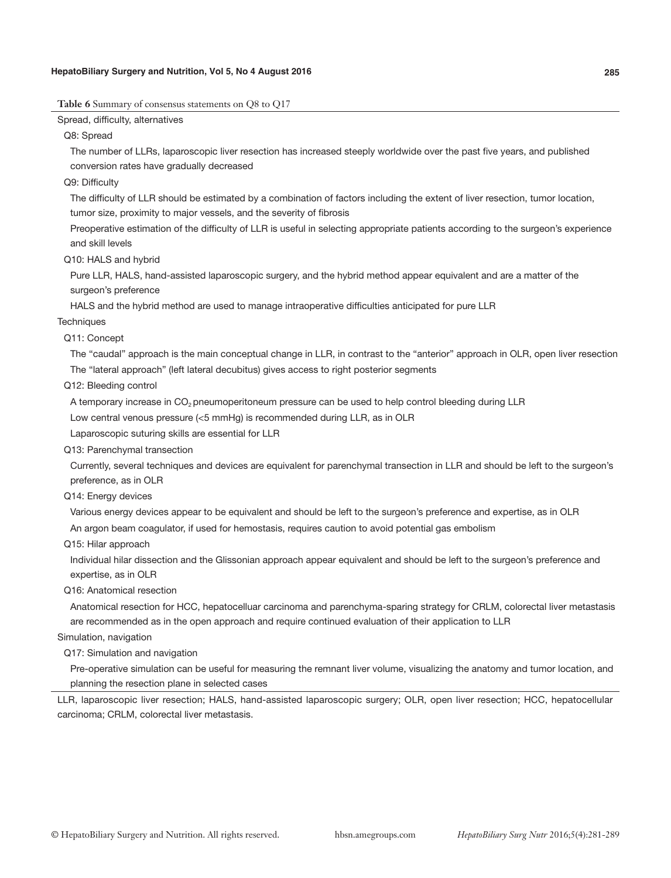**Table 6** Summary of consensus statements on Q8 to Q17

Spread, difficulty, alternatives

Q8: Spread

The number of LLRs, laparoscopic liver resection has increased steeply worldwide over the past five years, and published conversion rates have gradually decreased

Q9: Difficulty

The difficulty of LLR should be estimated by a combination of factors including the extent of liver resection, tumor location, tumor size, proximity to major vessels, and the severity of fibrosis

Preoperative estimation of the difficulty of LLR is useful in selecting appropriate patients according to the surgeon's experience and skill levels

Q10: HALS and hybrid

Pure LLR, HALS, hand-assisted laparoscopic surgery, and the hybrid method appear equivalent and are a matter of the surgeon's preference

HALS and the hybrid method are used to manage intraoperative difficulties anticipated for pure LLR

**Techniques** 

Q11: Concept

The "caudal" approach is the main conceptual change in LLR, in contrast to the "anterior" approach in OLR, open liver resection The "lateral approach" (left lateral decubitus) gives access to right posterior segments

Q12: Bleeding control

A temporary increase in CO<sub>2</sub> pneumoperitoneum pressure can be used to help control bleeding during LLR

Low central venous pressure (<5 mmHg) is recommended during LLR, as in OLR

Laparoscopic suturing skills are essential for LLR

Q13: Parenchymal transection

Currently, several techniques and devices are equivalent for parenchymal transection in LLR and should be left to the surgeon's preference, as in OLR

Q14: Energy devices

Various energy devices appear to be equivalent and should be left to the surgeon's preference and expertise, as in OLR

An argon beam coagulator, if used for hemostasis, requires caution to avoid potential gas embolism

Q15: Hilar approach

Individual hilar dissection and the Glissonian approach appear equivalent and should be left to the surgeon's preference and expertise, as in OLR

Q16: Anatomical resection

Anatomical resection for HCC, hepatocelluar carcinoma and parenchyma-sparing strategy for CRLM, colorectal liver metastasis are recommended as in the open approach and require continued evaluation of their application to LLR

Simulation, navigation

Q17: Simulation and navigation

Pre-operative simulation can be useful for measuring the remnant liver volume, visualizing the anatomy and tumor location, and planning the resection plane in selected cases

LLR, laparoscopic liver resection; HALS, hand-assisted laparoscopic surgery; OLR, open liver resection; HCC, hepatocellular carcinoma; CRLM, colorectal liver metastasis.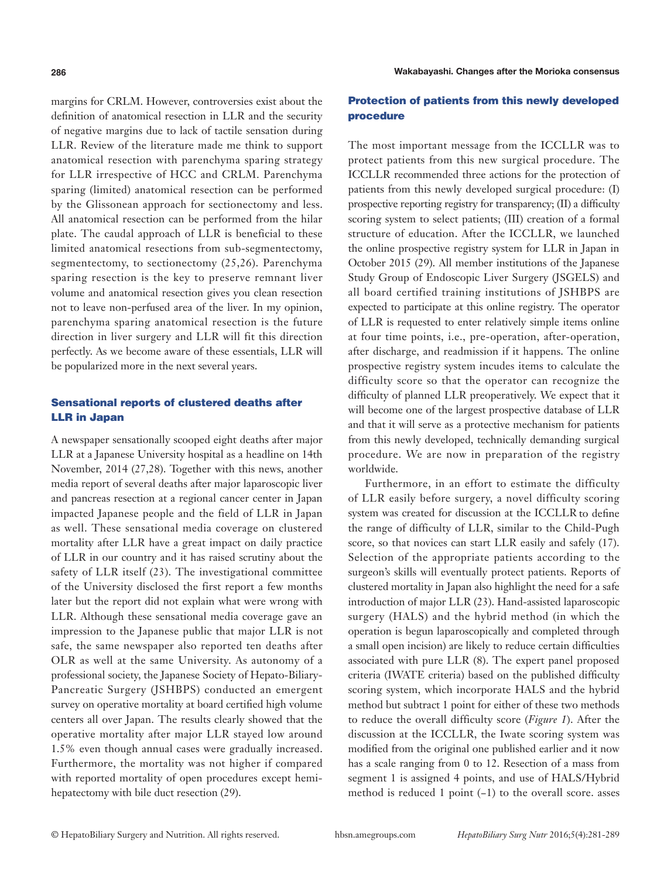margins for CRLM. However, controversies exist about the definition of anatomical resection in LLR and the security of negative margins due to lack of tactile sensation during LLR. Review of the literature made me think to support anatomical resection with parenchyma sparing strategy for LLR irrespective of HCC and CRLM. Parenchyma sparing (limited) anatomical resection can be performed by the Glissonean approach for sectionectomy and less. All anatomical resection can be performed from the hilar plate. The caudal approach of LLR is beneficial to these limited anatomical resections from sub-segmentectomy, segmentectomy, to sectionectomy (25,26). Parenchyma sparing resection is the key to preserve remnant liver volume and anatomical resection gives you clean resection not to leave non-perfused area of the liver. In my opinion, parenchyma sparing anatomical resection is the future direction in liver surgery and LLR will fit this direction perfectly. As we become aware of these essentials, LLR will be popularized more in the next several years.

## Sensational reports of clustered deaths after LLR in Japan

A newspaper sensationally scooped eight deaths after major LLR at a Japanese University hospital as a headline on 14th November, 2014 (27,28). Together with this news, another media report of several deaths after major laparoscopic liver and pancreas resection at a regional cancer center in Japan impacted Japanese people and the field of LLR in Japan as well. These sensational media coverage on clustered mortality after LLR have a great impact on daily practice of LLR in our country and it has raised scrutiny about the safety of LLR itself (23). The investigational committee of the University disclosed the first report a few months later but the report did not explain what were wrong with LLR. Although these sensational media coverage gave an impression to the Japanese public that major LLR is not safe, the same newspaper also reported ten deaths after OLR as well at the same University. As autonomy of a professional society, the Japanese Society of Hepato-Biliary-Pancreatic Surgery (JSHBPS) conducted an emergent survey on operative mortality at board certified high volume centers all over Japan. The results clearly showed that the operative mortality after major LLR stayed low around 1.5% even though annual cases were gradually increased. Furthermore, the mortality was not higher if compared with reported mortality of open procedures except hemihepatectomy with bile duct resection (29).

### Protection of patients from this newly developed procedure

The most important message from the ICCLLR was to protect patients from this new surgical procedure. The ICCLLR recommended three actions for the protection of patients from this newly developed surgical procedure: (I) prospective reporting registry for transparency; (II) a difficulty scoring system to select patients; (III) creation of a formal structure of education. After the ICCLLR, we launched the online prospective registry system for LLR in Japan in October 2015 (29). All member institutions of the Japanese Study Group of Endoscopic Liver Surgery (JSGELS) and all board certified training institutions of JSHBPS are expected to participate at this online registry. The operator of LLR is requested to enter relatively simple items online at four time points, i.e., pre-operation, after-operation, after discharge, and readmission if it happens. The online prospective registry system incudes items to calculate the difficulty score so that the operator can recognize the difficulty of planned LLR preoperatively. We expect that it will become one of the largest prospective database of LLR and that it will serve as a protective mechanism for patients from this newly developed, technically demanding surgical procedure. We are now in preparation of the registry worldwide.

 Furthermore, in an effort to estimate the difficulty of LLR easily before surgery, a novel difficulty scoring system was created for discussion at the ICCLLR to define the range of difficulty of LLR, similar to the Child-Pugh score, so that novices can start LLR easily and safely (17). Selection of the appropriate patients according to the surgeon's skills will eventually protect patients. Reports of clustered mortality in Japan also highlight the need for a safe introduction of major LLR (23). Hand-assisted laparoscopic surgery (HALS) and the hybrid method (in which the operation is begun laparoscopically and completed through a small open incision) are likely to reduce certain difficulties associated with pure LLR (8). The expert panel proposed criteria (IWATE criteria) based on the published difficulty scoring system, which incorporate HALS and the hybrid method but subtract 1 point for either of these two methods to reduce the overall difficulty score (*Figure 1*). After the discussion at the ICCLLR, the Iwate scoring system was modified from the original one published earlier and it now has a scale ranging from 0 to 12. Resection of a mass from segment 1 is assigned 4 points, and use of HALS/Hybrid method is reduced 1 point (−1) to the overall score. asses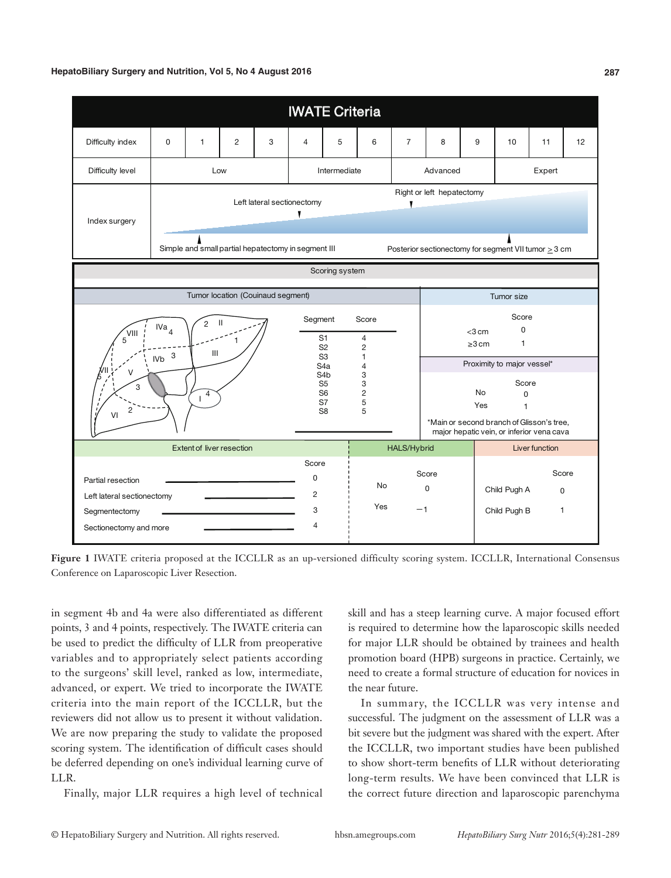| <b>IWATE Criteria</b>                                                                                                                                                                            |                                                                                                                                                                                  |   |     |                                   |                                        |                                                                                                                                            |                                                                 |                |                                                                                                                        |   |        |                                      |    |  |
|--------------------------------------------------------------------------------------------------------------------------------------------------------------------------------------------------|----------------------------------------------------------------------------------------------------------------------------------------------------------------------------------|---|-----|-----------------------------------|----------------------------------------|--------------------------------------------------------------------------------------------------------------------------------------------|-----------------------------------------------------------------|----------------|------------------------------------------------------------------------------------------------------------------------|---|--------|--------------------------------------|----|--|
| Difficulty index                                                                                                                                                                                 | $\Omega$                                                                                                                                                                         | 1 | 2   | 3                                 | $\overline{4}$                         | 5                                                                                                                                          | 6                                                               | $\overline{7}$ | 8                                                                                                                      | 9 | 10     | 11                                   | 12 |  |
| Difficulty level                                                                                                                                                                                 |                                                                                                                                                                                  |   | Low |                                   |                                        | Intermediate                                                                                                                               | Advanced                                                        |                |                                                                                                                        |   | Expert |                                      |    |  |
| Index surgery                                                                                                                                                                                    | Right or left hepatectomy<br>Left lateral sectionectomy<br>1<br>Simple and small partial hepatectomy in segment III<br>Posterior sectionectomy for segment VII tumor $\geq$ 3 cm |   |     |                                   |                                        |                                                                                                                                            |                                                                 |                |                                                                                                                        |   |        |                                      |    |  |
| Scoring system                                                                                                                                                                                   |                                                                                                                                                                                  |   |     |                                   |                                        |                                                                                                                                            |                                                                 |                |                                                                                                                        |   |        |                                      |    |  |
|                                                                                                                                                                                                  |                                                                                                                                                                                  |   |     | Tumor location (Couinaud segment) |                                        |                                                                                                                                            |                                                                 |                | Tumor size                                                                                                             |   |        |                                      |    |  |
| $\mathbf{I}$<br>$\overline{2}$<br>IVA <sub>4</sub><br>VIII<br>5<br>III<br>$IVB$ 3<br>٨'II<br>$\vee$<br>3<br>$\prime$<br>$\overline{4}$<br>$\overline{1}$<br>$\mathbf{I}$<br>$\overline{c}$<br>VI |                                                                                                                                                                                  |   |     |                                   | Segment                                | S1<br>S <sub>2</sub><br>S <sub>3</sub><br>S <sub>4</sub> a<br>S <sub>4</sub> b<br>S <sub>5</sub><br>S <sub>6</sub><br>S7<br>S <sub>8</sub> | Score<br>4<br>2<br>1<br>4<br>3<br>3<br>$\overline{c}$<br>5<br>5 |                | Score<br>$\Omega$<br>$<$ 3 cm<br>1<br>$\geq$ 3 cm<br>Proximity to major vessel*<br>Score<br>No<br>$\Omega$<br>Yes<br>1 |   |        |                                      |    |  |
|                                                                                                                                                                                                  |                                                                                                                                                                                  |   |     |                                   |                                        |                                                                                                                                            |                                                                 |                | *Main or second branch of Glisson's tree,<br>major hepatic vein, or inferior vena cava                                 |   |        |                                      |    |  |
| Extent of liver resection                                                                                                                                                                        |                                                                                                                                                                                  |   |     |                                   |                                        |                                                                                                                                            |                                                                 | HALS/Hybrid    | Liver function                                                                                                         |   |        |                                      |    |  |
| Partial resection<br>Left lateral sectionectomy<br>Segmentectomy<br>Sectionectomy and more                                                                                                       |                                                                                                                                                                                  |   |     |                                   | Score<br>0<br>$\overline{c}$<br>3<br>4 |                                                                                                                                            | <b>No</b><br>Yes                                                | $-1$           | Score<br>$\mathbf 0$<br>Child Pugh A<br>Child Pugh B                                                                   |   |        | Score<br>$\mathbf 0$<br>$\mathbf{1}$ |    |  |

**Figure 1** IWATE criteria proposed at the ICCLLR as an up-versioned difficulty scoring system. ICCLLR, International Consensus Conference on Laparoscopic Liver Resection.

in segment 4b and 4a were also differentiated as different points, 3 and 4 points, respectively. The IWATE criteria can be used to predict the difficulty of LLR from preoperative variables and to appropriately select patients according to the surgeons' skill level, ranked as low, intermediate, advanced, or expert. We tried to incorporate the IWATE criteria into the main report of the ICCLLR, but the reviewers did not allow us to present it without validation. We are now preparing the study to validate the proposed scoring system. The identification of difficult cases should be deferred depending on one's individual learning curve of LLR.

Finally, major LLR requires a high level of technical

skill and has a steep learning curve. A major focused effort is required to determine how the laparoscopic skills needed for major LLR should be obtained by trainees and health promotion board (HPB) surgeons in practice. Certainly, we need to create a formal structure of education for novices in the near future.

In summary, the ICCLLR was very intense and successful. The judgment on the assessment of LLR was a bit severe but the judgment was shared with the expert. After the ICCLLR, two important studies have been published to show short-term benefits of LLR without deteriorating long-term results. We have been convinced that LLR is the correct future direction and laparoscopic parenchyma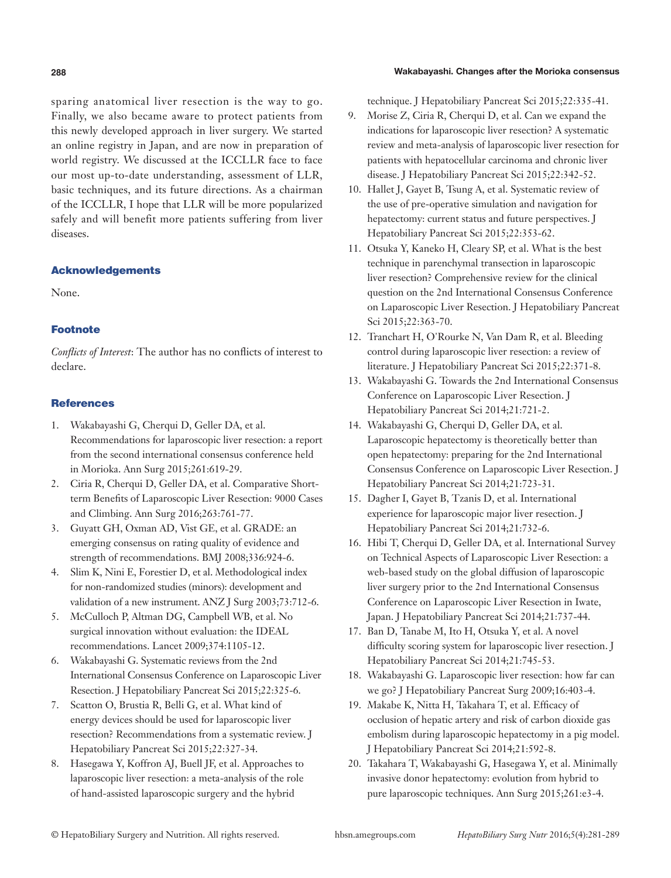#### **288** Wakabayashi. Changes after the Morioka consensus

sparing anatomical liver resection is the way to go. Finally, we also became aware to protect patients from this newly developed approach in liver surgery. We started an online registry in Japan, and are now in preparation of world registry. We discussed at the ICCLLR face to face our most up-to-date understanding, assessment of LLR, basic techniques, and its future directions. As a chairman of the ICCLLR, I hope that LLR will be more popularized safely and will benefit more patients suffering from liver diseases.

## Acknowledgements

None.

## Footnote

*Conflicts of Interest*: The author has no conflicts of interest to declare.

## **References**

- 1. Wakabayashi G, Cherqui D, Geller DA, et al. Recommendations for laparoscopic liver resection: a report from the second international consensus conference held in Morioka. Ann Surg 2015;261:619-29.
- 2. Ciria R, Cherqui D, Geller DA, et al. Comparative Shortterm Benefits of Laparoscopic Liver Resection: 9000 Cases and Climbing. Ann Surg 2016;263:761-77.
- 3. Guyatt GH, Oxman AD, Vist GE, et al. GRADE: an emerging consensus on rating quality of evidence and strength of recommendations. BMJ 2008;336:924-6.
- 4. Slim K, Nini E, Forestier D, et al. Methodological index for non-randomized studies (minors): development and validation of a new instrument. ANZ J Surg 2003;73:712-6.
- 5. McCulloch P, Altman DG, Campbell WB, et al. No surgical innovation without evaluation: the IDEAL recommendations. Lancet 2009;374:1105-12.
- 6. Wakabayashi G. Systematic reviews from the 2nd International Consensus Conference on Laparoscopic Liver Resection. J Hepatobiliary Pancreat Sci 2015;22:325-6.
- 7. Scatton O, Brustia R, Belli G, et al. What kind of energy devices should be used for laparoscopic liver resection? Recommendations from a systematic review. J Hepatobiliary Pancreat Sci 2015;22:327-34.
- 8. Hasegawa Y, Koffron AJ, Buell JF, et al. Approaches to laparoscopic liver resection: a meta-analysis of the role of hand-assisted laparoscopic surgery and the hybrid

technique. J Hepatobiliary Pancreat Sci 2015;22:335-41.

- 9. Morise Z, Ciria R, Cherqui D, et al. Can we expand the indications for laparoscopic liver resection? A systematic review and meta-analysis of laparoscopic liver resection for patients with hepatocellular carcinoma and chronic liver disease. J Hepatobiliary Pancreat Sci 2015;22:342-52.
- 10. Hallet J, Gayet B, Tsung A, et al. Systematic review of the use of pre-operative simulation and navigation for hepatectomy: current status and future perspectives. J Hepatobiliary Pancreat Sci 2015;22:353-62.
- 11. Otsuka Y, Kaneko H, Cleary SP, et al. What is the best technique in parenchymal transection in laparoscopic liver resection? Comprehensive review for the clinical question on the 2nd International Consensus Conference on Laparoscopic Liver Resection. J Hepatobiliary Pancreat Sci 2015;22:363-70.
- 12. Tranchart H, O'Rourke N, Van Dam R, et al. Bleeding control during laparoscopic liver resection: a review of literature. J Hepatobiliary Pancreat Sci 2015;22:371-8.
- 13. Wakabayashi G. Towards the 2nd International Consensus Conference on Laparoscopic Liver Resection. J Hepatobiliary Pancreat Sci 2014;21:721-2.
- 14. Wakabayashi G, Cherqui D, Geller DA, et al. Laparoscopic hepatectomy is theoretically better than open hepatectomy: preparing for the 2nd International Consensus Conference on Laparoscopic Liver Resection. J Hepatobiliary Pancreat Sci 2014;21:723-31.
- 15. Dagher I, Gayet B, Tzanis D, et al. International experience for laparoscopic major liver resection. J Hepatobiliary Pancreat Sci 2014;21:732-6.
- 16. Hibi T, Cherqui D, Geller DA, et al. International Survey on Technical Aspects of Laparoscopic Liver Resection: a web-based study on the global diffusion of laparoscopic liver surgery prior to the 2nd International Consensus Conference on Laparoscopic Liver Resection in Iwate, Japan. J Hepatobiliary Pancreat Sci 2014;21:737-44.
- 17. Ban D, Tanabe M, Ito H, Otsuka Y, et al. A novel difficulty scoring system for laparoscopic liver resection. J Hepatobiliary Pancreat Sci 2014;21:745-53.
- 18. Wakabayashi G. Laparoscopic liver resection: how far can we go? J Hepatobiliary Pancreat Surg 2009;16:403-4.
- 19. Makabe K, Nitta H, Takahara T, et al. Efficacy of occlusion of hepatic artery and risk of carbon dioxide gas embolism during laparoscopic hepatectomy in a pig model. J Hepatobiliary Pancreat Sci 2014;21:592-8.
- 20. Takahara T, Wakabayashi G, Hasegawa Y, et al. Minimally invasive donor hepatectomy: evolution from hybrid to pure laparoscopic techniques. Ann Surg 2015;261:e3-4.